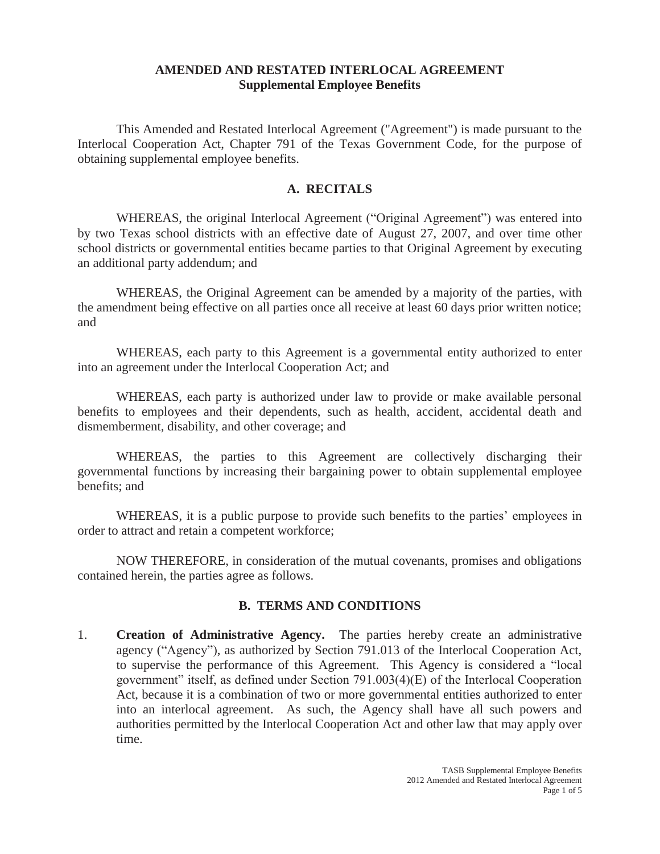## **AMENDED AND RESTATED INTERLOCAL AGREEMENT Supplemental Employee Benefits**

This Amended and Restated Interlocal Agreement ("Agreement") is made pursuant to the Interlocal Cooperation Act, Chapter 791 of the Texas Government Code, for the purpose of obtaining supplemental employee benefits.

## **A. RECITALS**

WHEREAS, the original Interlocal Agreement ("Original Agreement") was entered into by two Texas school districts with an effective date of August 27, 2007, and over time other school districts or governmental entities became parties to that Original Agreement by executing an additional party addendum; and

WHEREAS, the Original Agreement can be amended by a majority of the parties, with the amendment being effective on all parties once all receive at least 60 days prior written notice; and

WHEREAS, each party to this Agreement is a governmental entity authorized to enter into an agreement under the Interlocal Cooperation Act; and

WHEREAS, each party is authorized under law to provide or make available personal benefits to employees and their dependents, such as health, accident, accidental death and dismemberment, disability, and other coverage; and

WHEREAS, the parties to this Agreement are collectively discharging their governmental functions by increasing their bargaining power to obtain supplemental employee benefits; and

WHEREAS, it is a public purpose to provide such benefits to the parties' employees in order to attract and retain a competent workforce;

NOW THEREFORE, in consideration of the mutual covenants, promises and obligations contained herein, the parties agree as follows.

## **B. TERMS AND CONDITIONS**

1. **Creation of Administrative Agency.** The parties hereby create an administrative agency ("Agency"), as authorized by Section 791.013 of the Interlocal Cooperation Act, to supervise the performance of this Agreement. This Agency is considered a "local government" itself, as defined under Section 791.003(4)(E) of the Interlocal Cooperation Act, because it is a combination of two or more governmental entities authorized to enter into an interlocal agreement. As such, the Agency shall have all such powers and authorities permitted by the Interlocal Cooperation Act and other law that may apply over time.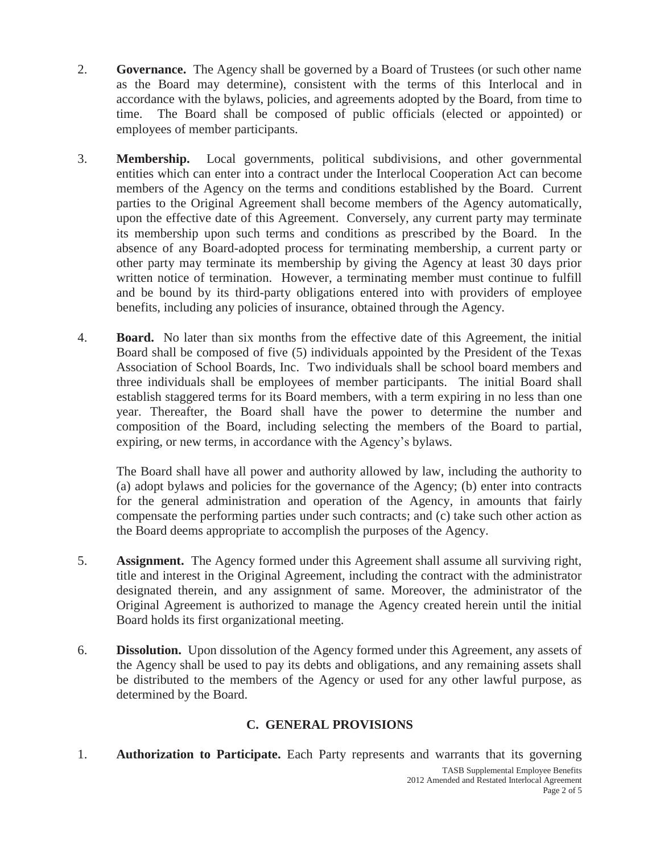- 2. **Governance.** The Agency shall be governed by a Board of Trustees (or such other name as the Board may determine), consistent with the terms of this Interlocal and in accordance with the bylaws, policies, and agreements adopted by the Board, from time to time. The Board shall be composed of public officials (elected or appointed) or employees of member participants.
- 3. **Membership.** Local governments, political subdivisions, and other governmental entities which can enter into a contract under the Interlocal Cooperation Act can become members of the Agency on the terms and conditions established by the Board. Current parties to the Original Agreement shall become members of the Agency automatically, upon the effective date of this Agreement. Conversely, any current party may terminate its membership upon such terms and conditions as prescribed by the Board. In the absence of any Board-adopted process for terminating membership, a current party or other party may terminate its membership by giving the Agency at least 30 days prior written notice of termination. However, a terminating member must continue to fulfill and be bound by its third-party obligations entered into with providers of employee benefits, including any policies of insurance, obtained through the Agency.
- 4. **Board.** No later than six months from the effective date of this Agreement, the initial Board shall be composed of five (5) individuals appointed by the President of the Texas Association of School Boards, Inc. Two individuals shall be school board members and three individuals shall be employees of member participants. The initial Board shall establish staggered terms for its Board members, with a term expiring in no less than one year. Thereafter, the Board shall have the power to determine the number and composition of the Board, including selecting the members of the Board to partial, expiring, or new terms, in accordance with the Agency's bylaws.

The Board shall have all power and authority allowed by law, including the authority to (a) adopt bylaws and policies for the governance of the Agency; (b) enter into contracts for the general administration and operation of the Agency, in amounts that fairly compensate the performing parties under such contracts; and (c) take such other action as the Board deems appropriate to accomplish the purposes of the Agency.

- 5. **Assignment.** The Agency formed under this Agreement shall assume all surviving right, title and interest in the Original Agreement, including the contract with the administrator designated therein, and any assignment of same. Moreover, the administrator of the Original Agreement is authorized to manage the Agency created herein until the initial Board holds its first organizational meeting.
- 6. **Dissolution.** Upon dissolution of the Agency formed under this Agreement, any assets of the Agency shall be used to pay its debts and obligations, and any remaining assets shall be distributed to the members of the Agency or used for any other lawful purpose, as determined by the Board.

# **C. GENERAL PROVISIONS**

1. **Authorization to Participate.** Each Party represents and warrants that its governing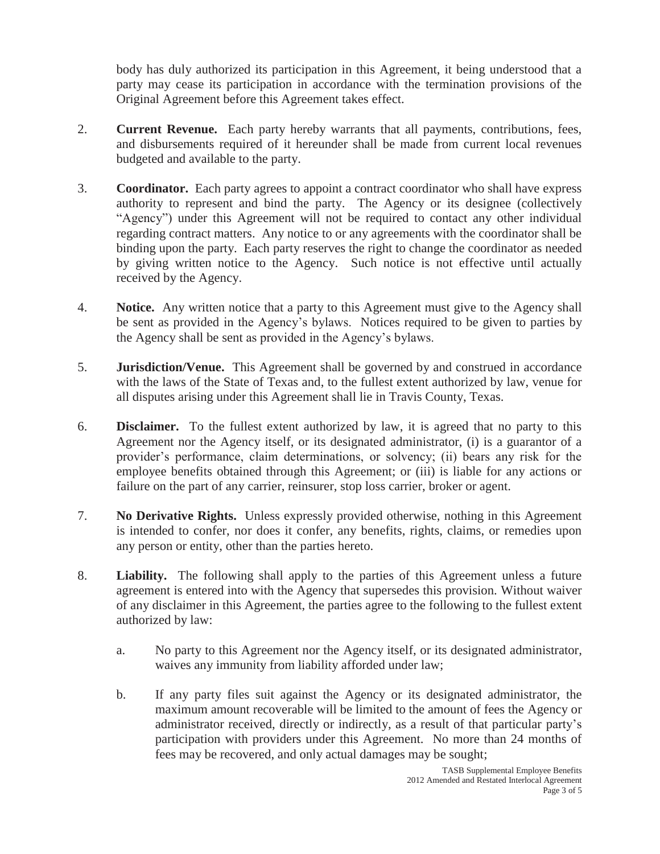body has duly authorized its participation in this Agreement, it being understood that a party may cease its participation in accordance with the termination provisions of the Original Agreement before this Agreement takes effect.

- 2. **Current Revenue.** Each party hereby warrants that all payments, contributions, fees, and disbursements required of it hereunder shall be made from current local revenues budgeted and available to the party.
- 3. **Coordinator.** Each party agrees to appoint a contract coordinator who shall have express authority to represent and bind the party. The Agency or its designee (collectively "Agency") under this Agreement will not be required to contact any other individual regarding contract matters. Any notice to or any agreements with the coordinator shall be binding upon the party. Each party reserves the right to change the coordinator as needed by giving written notice to the Agency. Such notice is not effective until actually received by the Agency.
- 4. **Notice.** Any written notice that a party to this Agreement must give to the Agency shall be sent as provided in the Agency's bylaws. Notices required to be given to parties by the Agency shall be sent as provided in the Agency's bylaws.
- 5. **Jurisdiction/Venue.** This Agreement shall be governed by and construed in accordance with the laws of the State of Texas and, to the fullest extent authorized by law, venue for all disputes arising under this Agreement shall lie in Travis County, Texas.
- 6. **Disclaimer.** To the fullest extent authorized by law, it is agreed that no party to this Agreement nor the Agency itself, or its designated administrator, (i) is a guarantor of a provider's performance, claim determinations, or solvency; (ii) bears any risk for the employee benefits obtained through this Agreement; or (iii) is liable for any actions or failure on the part of any carrier, reinsurer, stop loss carrier, broker or agent.
- 7. **No Derivative Rights.** Unless expressly provided otherwise, nothing in this Agreement is intended to confer, nor does it confer, any benefits, rights, claims, or remedies upon any person or entity, other than the parties hereto.
- 8. **Liability.** The following shall apply to the parties of this Agreement unless a future agreement is entered into with the Agency that supersedes this provision. Without waiver of any disclaimer in this Agreement, the parties agree to the following to the fullest extent authorized by law:
	- a. No party to this Agreement nor the Agency itself, or its designated administrator, waives any immunity from liability afforded under law;
	- b. If any party files suit against the Agency or its designated administrator, the maximum amount recoverable will be limited to the amount of fees the Agency or administrator received, directly or indirectly, as a result of that particular party's participation with providers under this Agreement. No more than 24 months of fees may be recovered, and only actual damages may be sought;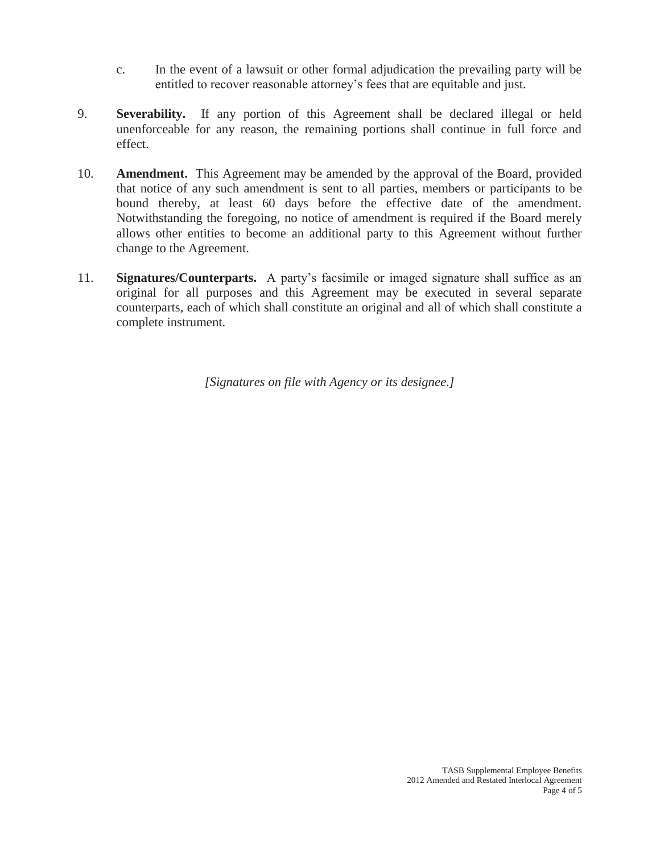- c. In the event of a lawsuit or other formal adjudication the prevailing party will be entitled to recover reasonable attorney's fees that are equitable and just.
- 9. **Severability.** If any portion of this Agreement shall be declared illegal or held unenforceable for any reason, the remaining portions shall continue in full force and effect.
- 10. **Amendment.** This Agreement may be amended by the approval of the Board, provided that notice of any such amendment is sent to all parties, members or participants to be bound thereby, at least 60 days before the effective date of the amendment. Notwithstanding the foregoing, no notice of amendment is required if the Board merely allows other entities to become an additional party to this Agreement without further change to the Agreement.
- 11. **Signatures/Counterparts.** A party's facsimile or imaged signature shall suffice as an original for all purposes and this Agreement may be executed in several separate counterparts, each of which shall constitute an original and all of which shall constitute a complete instrument.

*[Signatures on file with Agency or its designee.]*